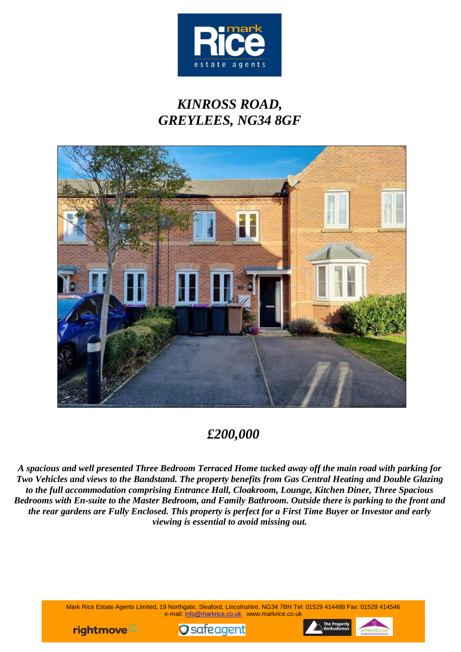

# *KINROSS ROAD, GREYLEES, NG34 8GF*



## *£200,000*

*A spacious and well presented Three Bedroom Terraced Home tucked away off the main road with parking for Two Vehicles and views to the Bandstand. The property benefits from Gas Central Heating and Double Glazing to the full accommodation comprising Entrance Hall, Cloakroom, Lounge, Kitchen Diner, Three Spacious Bedrooms with En-suite to the Master Bedroom, and Family Bathroom. Outside there is parking to the front and the rear gardens are Fully Enclosed. This property is perfect for a First Time Buyer or Investor and early viewing is essential to avoid missing out.*

> Mark Rice Estate Agents Limited, 19 Northgate, Sleaford, Lincolnshire, NG34 7BH Tel: 01529 414488 Fax: 01529 414546 e-mail: info@markrice.co.uk www.markrice.co.uk





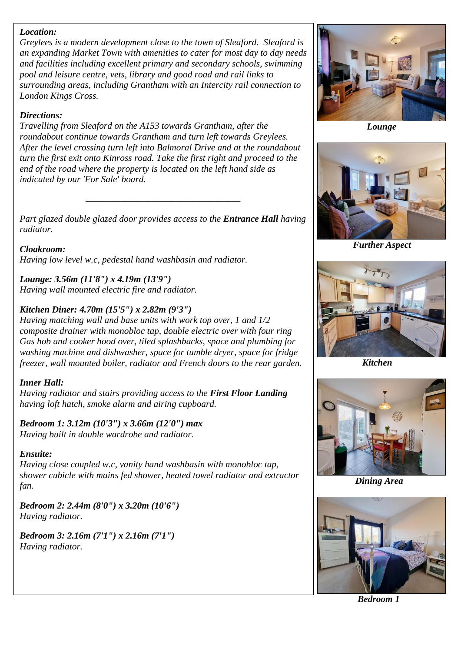#### *Location:*

*Greylees is a modern development close to the town of Sleaford. Sleaford is an expanding Market Town with amenities to cater for most day to day needs and facilities including excellent primary and secondary schools, swimming pool and leisure centre, vets, library and good road and rail links to surrounding areas, including Grantham with an Intercity rail connection to London Kings Cross.*

### *Directions:*

*Travelling from Sleaford on the A153 towards Grantham, after the roundabout continue towards Grantham and turn left towards Greylees. After the level crossing turn left into Balmoral Drive and at the roundabout turn the first exit onto Kinross road. Take the first right and proceed to the end of the road where the property is located on the left hand side as indicated by our 'For Sale' board.*

*Part glazed double glazed door provides access to the Entrance Hall having radiator.*

*\_\_\_\_\_\_\_\_\_\_\_\_\_\_\_\_\_\_\_\_\_\_\_\_\_\_\_\_\_\_\_\_\_\_\_\_\_\_\_\_*

*Cloakroom: Having low level w.c, pedestal hand washbasin and radiator.*

*Lounge: 3.56m (11'8") x 4.19m (13'9") Having wall mounted electric fire and radiator.*

## *Kitchen Diner: 4.70m (15'5") x 2.82m (9'3")*

*Having matching wall and base units with work top over, 1 and 1/2 composite drainer with monobloc tap, double electric over with four ring Gas hob and cooker hood over, tiled splashbacks, space and plumbing for washing machine and dishwasher, space for tumble dryer, space for fridge freezer, wall mounted boiler, radiator and French doors to the rear garden.*

## *Inner Hall:*

*Having radiator and stairs providing access to the First Floor Landing having loft hatch, smoke alarm and airing cupboard.*

*Bedroom 1: 3.12m (10'3") x 3.66m (12'0") max Having built in double wardrobe and radiator.*

### *Ensuite:*

*Having close coupled w.c, vanity hand washbasin with monobloc tap, shower cubicle with mains fed shower, heated towel radiator and extractor fan.*

*Bedroom 2: 2.44m (8'0") x 3.20m (10'6") Having radiator.*

*Bedroom 3: 2.16m (7'1") x 2.16m (7'1") Having radiator.*



 *Lounge*



 *Further Aspect*



 *Kitchen*



*Dining Area*



 *Bedroom 1*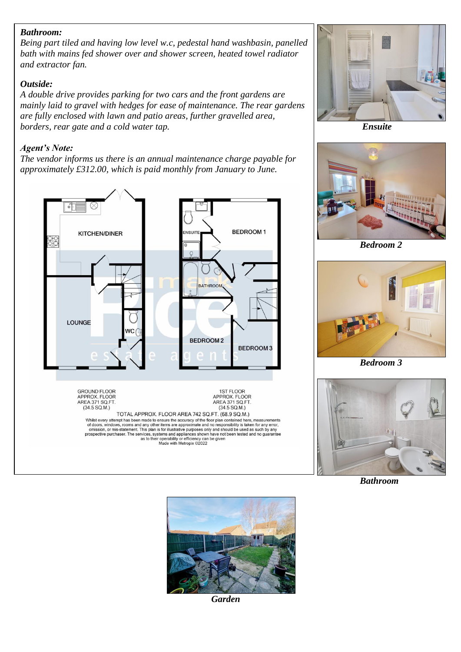#### *Bathroom:*

*Being part tiled and having low level w.c, pedestal hand washbasin, panelled bath with mains fed shower over and shower screen, heated towel radiator and extractor fan.*

#### *Outside:*

*A double drive provides parking for two cars and the front gardens are mainly laid to gravel with hedges for ease of maintenance. The rear gardens are fully enclosed with lawn and patio areas, further gravelled area, borders, rear gate and a cold water tap.*

#### *Agent's Note:*

*The vendor informs us there is an annual maintenance charge payable for approximately £312.00, which is paid monthly from January to June.* 





 *Ensuite*



 *Bedroom 2*



 *Bedroom 3*



 *Bathroom*



*Garden*